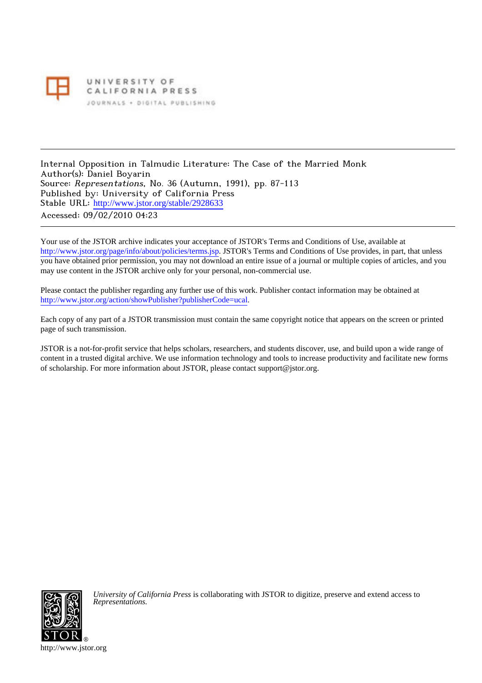

UNIVERSITY OF CALIFORNIA PRESS JOURNALS . DIGITAL PUBLISHING

Internal Opposition in Talmudic Literature: The Case of the Married Monk Author(s): Daniel Boyarin Source: Representations, No. 36 (Autumn, 1991), pp. 87-113 Published by: University of California Press Stable URL: [http://www.jstor.org/stable/2928633](http://www.jstor.org/stable/2928633?origin=JSTOR-pdf) Accessed: 09/02/2010 04:23

Your use of the JSTOR archive indicates your acceptance of JSTOR's Terms and Conditions of Use, available at <http://www.jstor.org/page/info/about/policies/terms.jsp>. JSTOR's Terms and Conditions of Use provides, in part, that unless you have obtained prior permission, you may not download an entire issue of a journal or multiple copies of articles, and you may use content in the JSTOR archive only for your personal, non-commercial use.

Please contact the publisher regarding any further use of this work. Publisher contact information may be obtained at [http://www.jstor.org/action/showPublisher?publisherCode=ucal.](http://www.jstor.org/action/showPublisher?publisherCode=ucal)

Each copy of any part of a JSTOR transmission must contain the same copyright notice that appears on the screen or printed page of such transmission.

JSTOR is a not-for-profit service that helps scholars, researchers, and students discover, use, and build upon a wide range of content in a trusted digital archive. We use information technology and tools to increase productivity and facilitate new forms of scholarship. For more information about JSTOR, please contact support@jstor.org.



*University of California Press* is collaborating with JSTOR to digitize, preserve and extend access to *Representations.*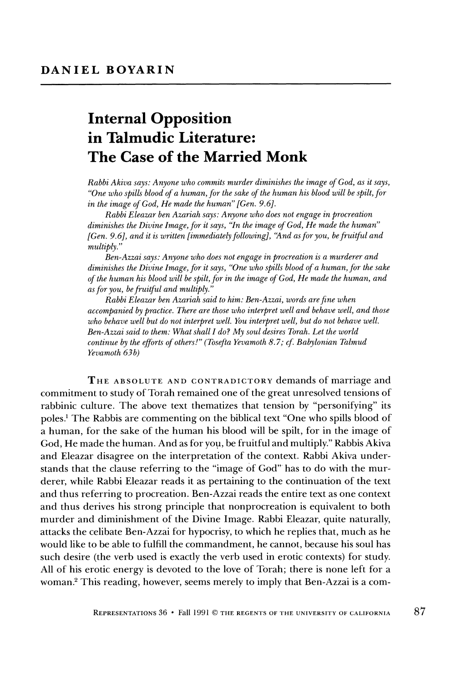# **Internal Opposition** in Talmudic Literature: The Case of the Married Monk

Rabbi Akiva says: Anyone who commits murder diminishes the image of God, as it says, "One who spills blood of a human, for the sake of the human his blood will be spilt, for in the image of God, He made the human" [Gen. 9.6].

Rabbi Eleazar ben Azariah says: Anyone who does not engage in procreation diminishes the Divine Image, for it says, "In the image of God, He made the human" [Gen. 9.6], and it is written [immediately following], "And as for you, be fruitful and multiply.'

Ben-Azzai says: Anyone who does not engage in procreation is a murderer and diminishes the Divine Image, for it says, "One who spills blood of a human, for the sake of the human his blood will be spilt, for in the image of God, He made the human, and as for you, be fruitful and multiply."

Rabbi Eleazar ben Azariah said to him: Ben-Azzai, words are fine when accompanied by practice. There are those who interpret well and behave well, and those who behave well but do not interpret well. You interpret well, but do not behave well. Ben-Azzai said to them: What shall I do? My soul desires Torah. Let the world continue by the efforts of others!" (Tosefta Yevamoth 8.7; cf. Babylonian Talmud Yevamoth 63b)

THE ABSOLUTE AND CONTRADICTORY demands of marriage and commitment to study of Torah remained one of the great unresolved tensions of rabbinic culture. The above text thematizes that tension by "personifying" its poles.<sup>1</sup> The Rabbis are commenting on the biblical text "One who spills blood of a human, for the sake of the human his blood will be spilt, for in the image of God, He made the human. And as for you, be fruitful and multiply." Rabbis Akiva and Eleazar disagree on the interpretation of the context. Rabbi Akiva understands that the clause referring to the "image of God" has to do with the murderer, while Rabbi Eleazar reads it as pertaining to the continuation of the text and thus referring to procreation. Ben-Azzai reads the entire text as one context and thus derives his strong principle that nonprocreation is equivalent to both murder and diminishment of the Divine Image. Rabbi Eleazar, quite naturally, attacks the celibate Ben-Azzai for hypocrisy, to which he replies that, much as he would like to be able to fulfill the commandment, he cannot, because his soul has such desire (the verb used is exactly the verb used in erotic contexts) for study. All of his erotic energy is devoted to the love of Torah; there is none left for a woman.<sup>2</sup> This reading, however, seems merely to imply that Ben-Azzai is a com-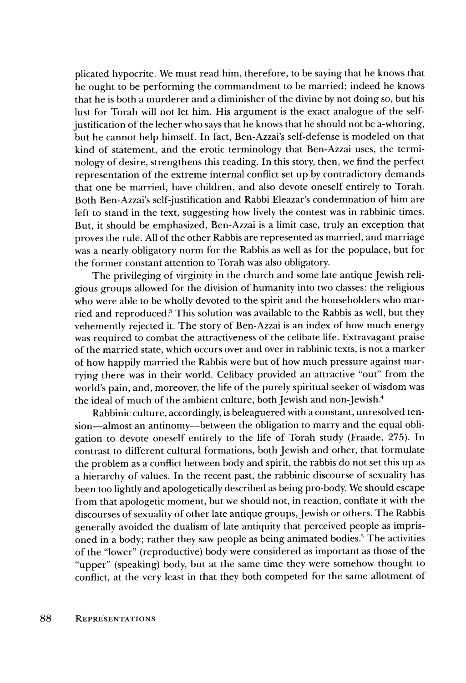plicated hypocrite. We must read him, therefore, to be saying that he knows that he ought to be performing the commandment to be married; indeed he knows that he is both a murderer and a diminisher of the divine by not doing so, but his lust for Torah will not let him. His argument is the exact analogue of the selfjustification of the lecher who says that he knows that he should not be a-whoring, but he cannot help himself. In fact, Ben-Azzai's self-defense is modeled on that kind of statement, and the erotic terminology that Ben-Azzai uses, the terminology of desire, strengthens this reading. In this story, then, we find the perfect representation of the extreme internal conflict set up by contradictory demands that one be married, have children, and also devote oneself entirely to Torah. Both Ben-Azzai's self-justification and Rabbi Eleazar's condemnation of him are left to stand in the text, suggesting how lively the contest was in rabbinic times. But, it should be emphasized, Ben-Azzai is a limit case, truly an exception that proves the rule. All of the other Rabbis are represented as married, and marriage was a nearly obligatory norm for the Rabbis as well as for the populace, but for the former constant attention to Torah was also obligatory.

The privileging of virginity in the church and some late antique Jewish religious groups allowed for the division of humanity into two classes: the religious who were able to be wholly devoted to the spirit and the householders who married and reproduced.<sup>3</sup> This solution was available to the Rabbis as well, but they vehemently rejected it. The story of Ben-Azzai is an index of how much energy was required to combat the attractiveness of the celibate life. Extravagant praise of the married state, which occurs over and over in rabbinic texts, is not a marker of how happily married the Rabbis were but of how much pressure against marrying there was in their world. Celibacy provided an attractive "out" from the world's pain, and, moreover, the life of the purely spiritual seeker of wisdom was the ideal of much of the ambient culture, both Jewish and non-Jewish.<sup>4</sup>

Rabbinic culture, accordingly, is beleaguered with a constant, unresolved tension—almost an antinomy—between the obligation to marry and the equal obligation to devote oneself entirely to the life of Torah study (Fraade, 275). In contrast to different cultural formations, both Jewish and other, that formulate the problem as a conflict between body and spirit, the rabbis do not set this up as a hierarchy of values. In the recent past, the rabbinic discourse of sexuality has been too lightly and apologetically described as being pro-body. We should escape from that apologetic moment, but we should not, in reaction, conflate it with the discourses of sexuality of other late antique groups, Jewish or others. The Rabbis generally avoided the dualism of late antiquity that perceived people as imprisoned in a body; rather they saw people as being animated bodies.<sup>5</sup> The activities of the "lower" (reproductive) body were considered as important as those of the "upper" (speaking) body, but at the same time they were somehow thought to conflict, at the very least in that they both competed for the same allotment of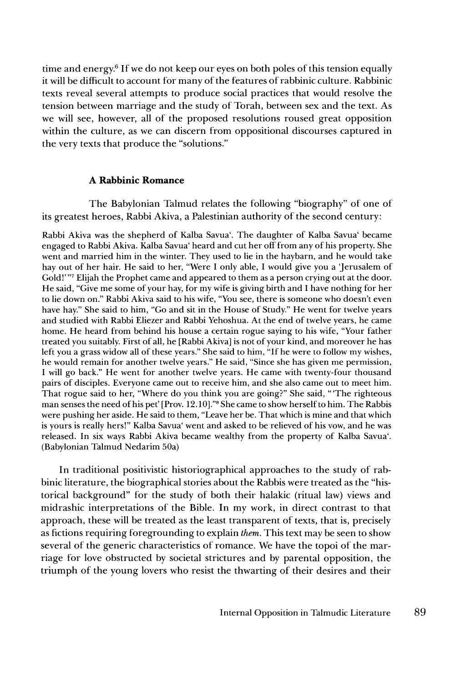time and energy.<sup>6</sup> If we do not keep our eyes on both poles of this tension equally it will be difficult to account for many of the features of rabbinic culture. Rabbinic texts reveal several attempts to produce social practices that would resolve the tension between marriage and the study of Torah, between sex and the text. As we will see, however, all of the proposed resolutions roused great opposition within the culture, as we can discern from oppositional discourses captured in the very texts that produce the "solutions."

#### **A Rabbinic Romance**

The Babylonian Talmud relates the following "biography" of one of its greatest heroes, Rabbi Akiva, a Palestinian authority of the second century:

Rabbi Akiva was the shepherd of Kalba Savua'. The daughter of Kalba Savua' became engaged to Rabbi Akiva. Kalba Savua' heard and cut her off from any of his property. She went and married him in the winter. They used to lie in the haybarn, and he would take hay out of her hair. He said to her, "Were I only able, I would give you a 'Jerusalem of Gold!"<sup>7</sup> Elijah the Prophet came and appeared to them as a person crying out at the door. He said, "Give me some of your hay, for my wife is giving birth and I have nothing for her to lie down on." Rabbi Akiva said to his wife, "You see, there is someone who doesn't even have hay." She said to him, "Go and sit in the House of Study." He went for twelve years and studied with Rabbi Eliezer and Rabbi Yehoshua. At the end of twelve years, he came home. He heard from behind his house a certain rogue saying to his wife, "Your father treated you suitably. First of all, he [Rabbi Akiva] is not of your kind, and moreover he has left you a grass widow all of these years." She said to him, "If he were to follow my wishes, he would remain for another twelve years." He said, "Since she has given me permission, I will go back." He went for another twelve years. He came with twenty-four thousand pairs of disciples. Everyone came out to receive him, and she also came out to meet him. That rogue said to her, "Where do you think you are going?" She said, "The righteous man senses the need of his pet' [Prov. 12.10]."<sup>8</sup> She came to show herself to him. The Rabbis were pushing her aside. He said to them, "Leave her be. That which is mine and that which is yours is really hers!" Kalba Savua' went and asked to be relieved of his yow, and he was released. In six ways Rabbi Akiva became wealthy from the property of Kalba Savua'. (Babylonian Talmud Nedarim 50a)

In traditional positivistic historiographical approaches to the study of rabbinic literature, the biographical stories about the Rabbis were treated as the "historical background" for the study of both their halakic (ritual law) views and midrashic interpretations of the Bible. In my work, in direct contrast to that approach, these will be treated as the least transparent of texts, that is, precisely as fictions requiring foregrounding to explain them. This text may be seen to show several of the generic characteristics of romance. We have the topoi of the marriage for love obstructed by societal strictures and by parental opposition, the triumph of the young lovers who resist the thwarting of their desires and their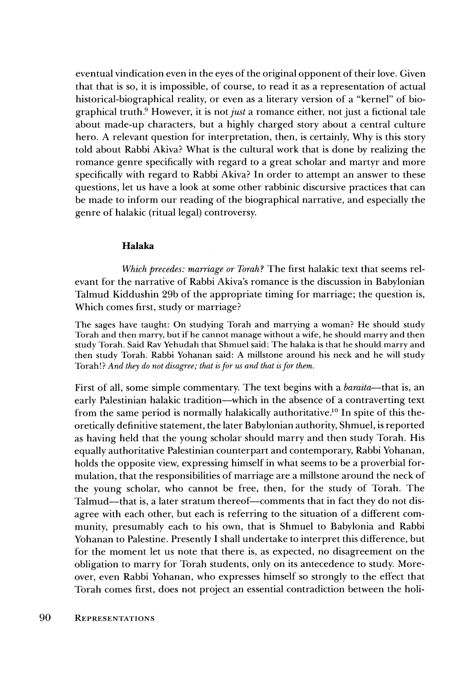eventual vindication even in the eyes of the original opponent of their love. Given that that is so, it is impossible, of course, to read it as a representation of actual historical-biographical reality, or even as a literary version of a "kernel" of biographical truth.<sup>9</sup> However, it is not *just* a romance either, not just a fictional tale about made-up characters, but a highly charged story about a central culture hero. A relevant question for interpretation, then, is certainly, Why is this story told about Rabbi Akiva? What is the cultural work that is done by realizing the romance genre specifically with regard to a great scholar and martyr and more specifically with regard to Rabbi Akiva? In order to attempt an answer to these questions, let us have a look at some other rabbinic discursive practices that can be made to inform our reading of the biographical narrative, and especially the genre of halakic (ritual legal) controversy.

## Halaka

Which precedes: marriage or Torah? The first halakic text that seems relevant for the narrative of Rabbi Akiva's romance is the discussion in Babylonian Talmud Kiddushin 29b of the appropriate timing for marriage; the question is, Which comes first, study or marriage?

The sages have taught: On studying Torah and marrying a woman? He should study Torah and then marry, but if he cannot manage without a wife, he should marry and then study Torah. Said Rav Yehudah that Shmuel said: The halaka is that he should marry and then study Torah. Rabbi Yohanan said: A millstone around his neck and he will study Torah!? And they do not disagree; that is for us and that is for them.

First of all, some simple commentary. The text begins with a *baraita*—that is, an early Palestinian halakic tradition—which in the absence of a contraverting text from the same period is normally halakically authoritative.<sup>10</sup> In spite of this theoretically definitive statement, the later Babylonian authority, Shmuel, is reported as having held that the young scholar should marry and then study Torah. His equally authoritative Palestinian counterpart and contemporary, Rabbi Yohanan, holds the opposite view, expressing himself in what seems to be a proverbial formulation, that the responsibilities of marriage are a millstone around the neck of the young scholar, who cannot be free, then, for the study of Torah. The Talmud—that is, a later stratum thereof—comments that in fact they do not disagree with each other, but each is referring to the situation of a different community, presumably each to his own, that is Shmuel to Babylonia and Rabbi Yohanan to Palestine. Presently I shall undertake to interpret this difference, but for the moment let us note that there is, as expected, no disagreement on the obligation to marry for Torah students, only on its antecedence to study. Moreover, even Rabbi Yohanan, who expresses himself so strongly to the effect that Torah comes first, does not project an essential contradiction between the holi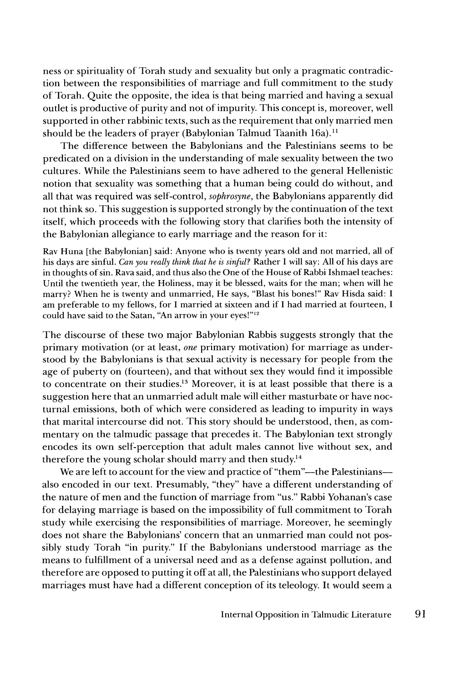ness or spirituality of Torah study and sexuality but only a pragmatic contradiction between the responsibilities of marriage and full commitment to the study of Torah. Quite the opposite, the idea is that being married and having a sexual outlet is productive of purity and not of impurity. This concept is, moreover, well supported in other rabbinic texts, such as the requirement that only married men should be the leaders of prayer (Babylonian Talmud Taanith 16a).<sup>11</sup>

The difference between the Babylonians and the Palestinians seems to be predicated on a division in the understanding of male sexuality between the two cultures. While the Palestinians seem to have adhered to the general Hellenistic notion that sexuality was something that a human being could do without, and all that was required was self-control, sophrosyne, the Babylonians apparently did not think so. This suggestion is supported strongly by the continuation of the text itself, which proceeds with the following story that clarifies both the intensity of the Babylonian allegiance to early marriage and the reason for it:

Rav Huna [the Babylonian] said: Anyone who is twenty years old and not married, all of his days are sinful. Can you really think that he is sinful? Rather I will say: All of his days are in thoughts of sin. Rava said, and thus also the One of the House of Rabbi Ishmael teaches: Until the twentieth year, the Holiness, may it be blessed, waits for the man; when will he marry? When he is twenty and unmarried, He says, "Blast his bones!" Rav Hisda said: I am preferable to my fellows, for I married at sixteen and if I had married at fourteen, I could have said to the Satan, "An arrow in your eyes!"<sup>12</sup>

The discourse of these two major Babylonian Rabbis suggests strongly that the primary motivation (or at least, one primary motivation) for marriage as understood by the Babylonians is that sexual activity is necessary for people from the age of puberty on (fourteen), and that without sex they would find it impossible to concentrate on their studies.<sup>13</sup> Moreover, it is at least possible that there is a suggestion here that an unmarried adult male will either masturbate or have nocturnal emissions, both of which were considered as leading to impurity in ways that marital intercourse did not. This story should be understood, then, as commentary on the talmudic passage that precedes it. The Babylonian text strongly encodes its own self-perception that adult males cannot live without sex, and therefore the young scholar should marry and then study.<sup>14</sup>

We are left to account for the view and practice of "them"-the Palestiniansalso encoded in our text. Presumably, "they" have a different understanding of the nature of men and the function of marriage from "us." Rabbi Yohanan's case for delaying marriage is based on the impossibility of full commitment to Torah study while exercising the responsibilities of marriage. Moreover, he seemingly does not share the Babylonians' concern that an unmarried man could not possibly study Torah "in purity." If the Babylonians understood marriage as the means to fulfillment of a universal need and as a defense against pollution, and therefore are opposed to putting it off at all, the Palestinians who support delayed marriages must have had a different conception of its teleology. It would seem a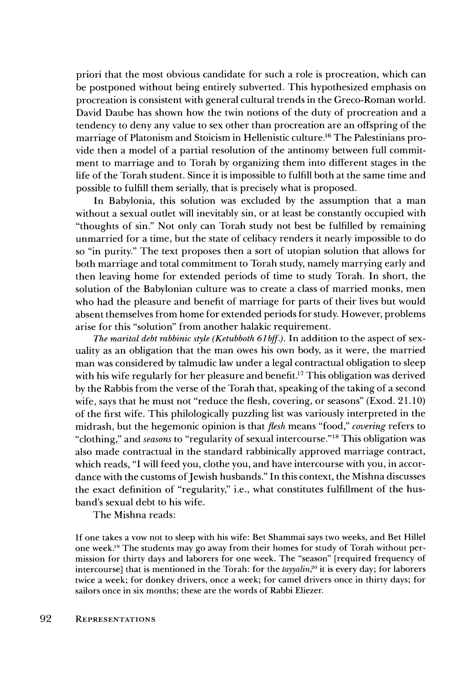priori that the most obvious candidate for such a role is procreation, which can be postponed without being entirely subverted. This hypothesized emphasis on procreation is consistent with general cultural trends in the Greco-Roman world. David Daube has shown how the twin notions of the duty of procreation and a tendency to deny any value to sex other than procreation are an offspring of the marriage of Platonism and Stoicism in Hellenistic culture.<sup>16</sup> The Palestinians provide then a model of a partial resolution of the antinomy between full commitment to marriage and to Torah by organizing them into different stages in the life of the Torah student. Since it is impossible to fulfill both at the same time and possible to fulfill them serially, that is precisely what is proposed.

In Babylonia, this solution was excluded by the assumption that a man without a sexual outlet will inevitably sin, or at least be constantly occupied with "thoughts of sin." Not only can Torah study not best be fulfilled by remaining unmarried for a time, but the state of celibacy renders it nearly impossible to do so "in purity." The text proposes then a sort of utopian solution that allows for both marriage and total commitment to Torah study, namely marrying early and then leaving home for extended periods of time to study Torah. In short, the solution of the Babylonian culture was to create a class of married monks, men who had the pleasure and benefit of marriage for parts of their lives but would absent themselves from home for extended periods for study. However, problems arise for this "solution" from another halakic requirement.

The marital debt rabbinic style (Ketubboth 61bff.). In addition to the aspect of sexuality as an obligation that the man owes his own body, as it were, the married man was considered by talmudic law under a legal contractual obligation to sleep with his wife regularly for her pleasure and benefit.<sup>17</sup> This obligation was derived by the Rabbis from the verse of the Torah that, speaking of the taking of a second wife, says that he must not "reduce the flesh, covering, or seasons" (Exod. 21.10) of the first wife. This philologically puzzling list was variously interpreted in the midrash, but the hegemonic opinion is that *flesh* means "food," covering refers to "clothing," and *seasons* to "regularity of sexual intercourse."<sup>18</sup> This obligation was also made contractual in the standard rabbinically approved marriage contract, which reads, "I will feed you, clothe you, and have intercourse with you, in accordance with the customs of Jewish husbands." In this context, the Mishna discusses the exact definition of "regularity," i.e., what constitutes fulfillment of the husband's sexual debt to his wife.

The Mishna reads:

If one takes a vow not to sleep with his wife: Bet Shammai says two weeks, and Bet Hillel one week.<sup>19</sup> The students may go away from their homes for study of Torah without permission for thirty days and laborers for one week. The "season" [required frequency of intercourse] that is mentioned in the Torah: for the *tayyalin*,<sup>20</sup> it is every day; for laborers twice a week; for donkey drivers, once a week; for camel drivers once in thirty days; for sailors once in six months; these are the words of Rabbi Eliezer.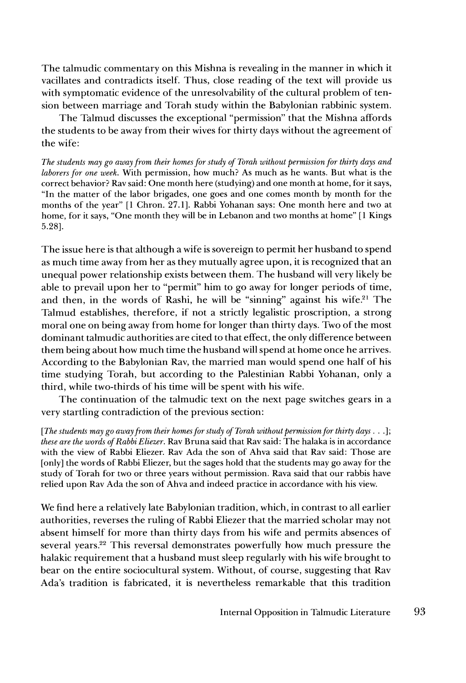The talmudic commentary on this Mishna is revealing in the manner in which it vacillates and contradicts itself. Thus, close reading of the text will provide us with symptomatic evidence of the unresolvability of the cultural problem of tension between marriage and Torah study within the Babylonian rabbinic system.

The Talmud discusses the exceptional "permission" that the Mishna affords the students to be away from their wives for thirty days without the agreement of the wife:

The students may go away from their homes for study of Torah without permission for thirty days and laborers for one week. With permission, how much? As much as he wants. But what is the correct behavior? Rav said: One month here (studying) and one month at home, for it says, "In the matter of the labor brigades, one goes and one comes month by month for the months of the year" [1 Chron. 27.1]. Rabbi Yohanan says: One month here and two at home, for it says, "One month they will be in Lebanon and two months at home" [1 Kings] 5.281.

The issue here is that although a wife is sovereign to permit her husband to spend as much time away from her as they mutually agree upon, it is recognized that an unequal power relationship exists between them. The husband will very likely be able to prevail upon her to "permit" him to go away for longer periods of time, and then, in the words of Rashi, he will be "sinning" against his wife.<sup>21</sup> The Talmud establishes, therefore, if not a strictly legalistic proscription, a strong moral one on being away from home for longer than thirty days. Two of the most dominant talmudic authorities are cited to that effect, the only difference between them being about how much time the husband will spend at home once he arrives. According to the Babylonian Rav, the married man would spend one half of his time studying Torah, but according to the Palestinian Rabbi Yohanan, only a third, while two-thirds of his time will be spent with his wife.

The continuation of the talmudic text on the next page switches gears in a very startling contradiction of the previous section:

[The students may go away from their homes for study of Torah without permission for thirty days  $\dots$ ]; these are the words of Rabbi Eliezer. Rav Bruna said that Rav said: The halaka is in accordance with the view of Rabbi Eliezer. Rav Ada the son of Ahva said that Rav said: Those are [only] the words of Rabbi Eliezer, but the sages hold that the students may go away for the study of Torah for two or three years without permission. Rava said that our rabbis have relied upon Rav Ada the son of Ahva and indeed practice in accordance with his view.

We find here a relatively late Babylonian tradition, which, in contrast to all earlier authorities, reverses the ruling of Rabbi Eliezer that the married scholar may not absent himself for more than thirty days from his wife and permits absences of several years.<sup>22</sup> This reversal demonstrates powerfully how much pressure the halakic requirement that a husband must sleep regularly with his wife brought to bear on the entire sociocultural system. Without, of course, suggesting that Rav Ada's tradition is fabricated, it is nevertheless remarkable that this tradition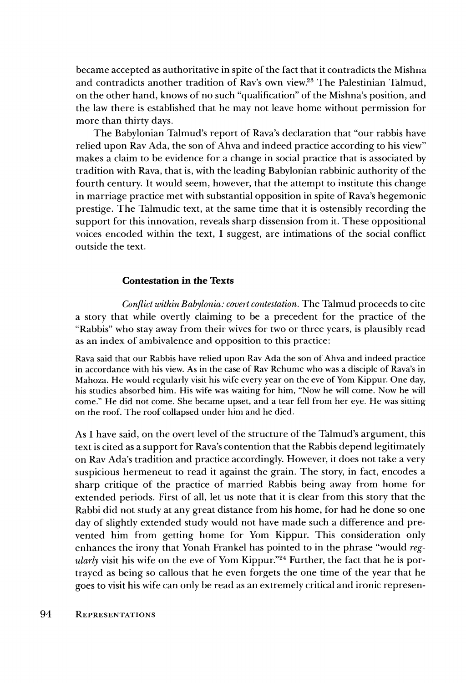became accepted as authoritative in spite of the fact that it contradicts the Mishna and contradicts another tradition of Rav's own view.<sup>23</sup> The Palestinian Talmud, on the other hand, knows of no such "qualification" of the Mishna's position, and the law there is established that he may not leave home without permission for more than thirty days.

The Babylonian Talmud's report of Rava's declaration that "our rabbis have relied upon Rav Ada, the son of Ahva and indeed practice according to his view" makes a claim to be evidence for a change in social practice that is associated by tradition with Rava, that is, with the leading Babylonian rabbinic authority of the fourth century. It would seem, however, that the attempt to institute this change in marriage practice met with substantial opposition in spite of Rava's hegemonic prestige. The Talmudic text, at the same time that it is ostensibly recording the support for this innovation, reveals sharp dissension from it. These oppositional voices encoded within the text, I suggest, are intimations of the social conflict outside the text.

#### **Contestation in the Texts**

Conflict within Babylonia: covert contestation. The Talmud proceeds to cite a story that while overtly claiming to be a precedent for the practice of the "Rabbis" who stay away from their wives for two or three years, is plausibly read as an index of ambivalence and opposition to this practice:

Rava said that our Rabbis have relied upon Rav Ada the son of Ahva and indeed practice in accordance with his view. As in the case of Rav Rehume who was a disciple of Rava's in Mahoza. He would regularly visit his wife every year on the eve of Yom Kippur. One day, his studies absorbed him. His wife was waiting for him, "Now he will come. Now he will come." He did not come. She became upset, and a tear fell from her eye. He was sitting on the roof. The roof collapsed under him and he died.

As I have said, on the overt level of the structure of the Talmud's argument, this text is cited as a support for Rava's contention that the Rabbis depend legitimately on Rav Ada's tradition and practice accordingly. However, it does not take a very suspicious hermeneut to read it against the grain. The story, in fact, encodes a sharp critique of the practice of married Rabbis being away from home for extended periods. First of all, let us note that it is clear from this story that the Rabbi did not study at any great distance from his home, for had he done so one day of slightly extended study would not have made such a difference and prevented him from getting home for Yom Kippur. This consideration only enhances the irony that Yonah Frankel has pointed to in the phrase "would regularly visit his wife on the eve of Yom Kippur."<sup>24</sup> Further, the fact that he is portrayed as being so callous that he even forgets the one time of the year that he goes to visit his wife can only be read as an extremely critical and ironic represen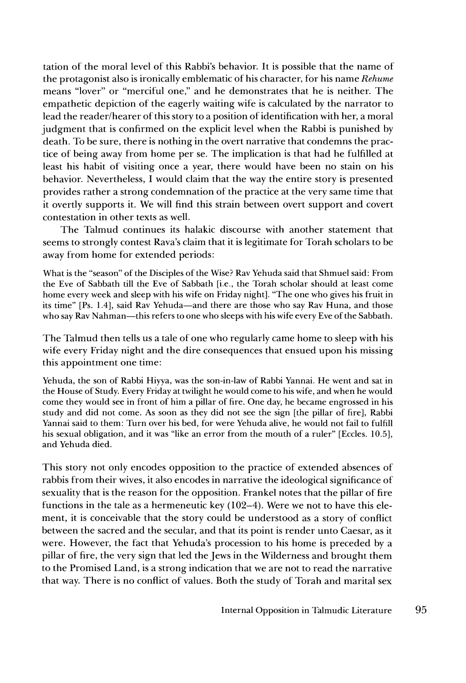tation of the moral level of this Rabbi's behavior. It is possible that the name of the protagonist also is ironically emblematic of his character, for his name Rehume means "lover" or "merciful one," and he demonstrates that he is neither. The empathetic depiction of the eagerly waiting wife is calculated by the narrator to lead the reader/hearer of this story to a position of identification with her, a moral judgment that is confirmed on the explicit level when the Rabbi is punished by death. To be sure, there is nothing in the overt narrative that condemns the practice of being away from home per se. The implication is that had he fulfilled at least his habit of visiting once a year, there would have been no stain on his behavior. Nevertheless, I would claim that the way the entire story is presented provides rather a strong condemnation of the practice at the very same time that it overtly supports it. We will find this strain between overt support and covert contestation in other texts as well.

The Talmud continues its halakic discourse with another statement that seems to strongly contest Rava's claim that it is legitimate for Torah scholars to be away from home for extended periods:

What is the "season" of the Disciples of the Wise? Rav Yehuda said that Shmuel said: From the Eve of Sabbath till the Eve of Sabbath [i.e., the Torah scholar should at least come home every week and sleep with his wife on Friday night]. "The one who gives his fruit in its time" [Ps. 1.4], said Rav Yehuda-and there are those who say Rav Huna, and those who say Ray Nahman—this refers to one who sleeps with his wife every Eve of the Sabbath.

The Talmud then tells us a tale of one who regularly came home to sleep with his wife every Friday night and the dire consequences that ensued upon his missing this appointment one time:

Yehuda, the son of Rabbi Hiyya, was the son-in-law of Rabbi Yannai. He went and sat in the House of Study. Every Friday at twilight he would come to his wife, and when he would come they would see in front of him a pillar of fire. One day, he became engrossed in his study and did not come. As soon as they did not see the sign [the pillar of fire], Rabbi Yannai said to them: Turn over his bed, for were Yehuda alive, he would not fail to fulfill his sexual obligation, and it was "like an error from the mouth of a ruler" [Eccles. 10.5], and Yehuda died.

This story not only encodes opposition to the practice of extended absences of rabbis from their wives, it also encodes in narrative the ideological significance of sexuality that is the reason for the opposition. Frankel notes that the pillar of fire functions in the tale as a hermeneutic key (102–4). Were we not to have this element, it is conceivable that the story could be understood as a story of conflict between the sacred and the secular, and that its point is render unto Caesar, as it were. However, the fact that Yehuda's procession to his home is preceded by a pillar of fire, the very sign that led the Jews in the Wilderness and brought them to the Promised Land, is a strong indication that we are not to read the narrative that way. There is no conflict of values. Both the study of Torah and marital sex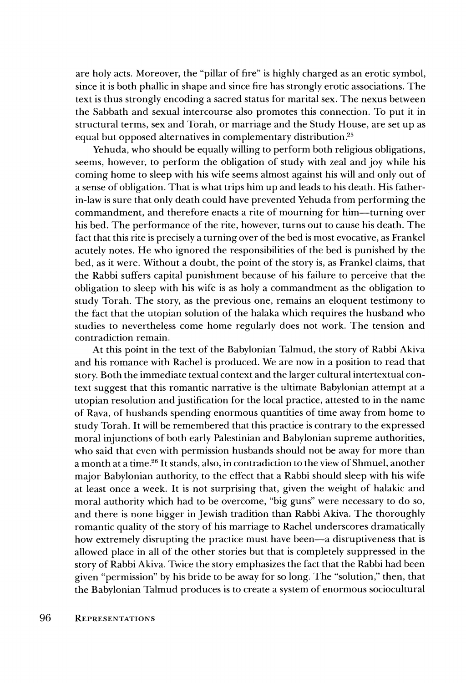are holy acts. Moreover, the "pillar of fire" is highly charged as an erotic symbol, since it is both phallic in shape and since fire has strongly erotic associations. The text is thus strongly encoding a sacred status for marital sex. The nexus between the Sabbath and sexual intercourse also promotes this connection. To put it in structural terms, sex and Torah, or marriage and the Study House, are set up as equal but opposed alternatives in complementary distribution.<sup>25</sup>

Yehuda, who should be equally willing to perform both religious obligations, seems, however, to perform the obligation of study with zeal and joy while his coming home to sleep with his wife seems almost against his will and only out of a sense of obligation. That is what trips him up and leads to his death. His fatherin-law is sure that only death could have prevented Yehuda from performing the commandment, and therefore enacts a rite of mourning for him—turning over his bed. The performance of the rite, however, turns out to cause his death. The fact that this rite is precisely a turning over of the bed is most evocative, as Frankel acutely notes. He who ignored the responsibilities of the bed is punished by the bed, as it were. Without a doubt, the point of the story is, as Frankel claims, that the Rabbi suffers capital punishment because of his failure to perceive that the obligation to sleep with his wife is as holy a commandment as the obligation to study Torah. The story, as the previous one, remains an eloquent testimony to the fact that the utopian solution of the halaka which requires the husband who studies to nevertheless come home regularly does not work. The tension and contradiction remain.

At this point in the text of the Babylonian Talmud, the story of Rabbi Akiva and his romance with Rachel is produced. We are now in a position to read that story. Both the immediate textual context and the larger cultural intertextual context suggest that this romantic narrative is the ultimate Babylonian attempt at a utopian resolution and justification for the local practice, attested to in the name of Rava, of husbands spending enormous quantities of time away from home to study Torah. It will be remembered that this practice is contrary to the expressed moral injunctions of both early Palestinian and Babylonian supreme authorities, who said that even with permission husbands should not be away for more than a month at a time.<sup>26</sup> It stands, also, in contradiction to the view of Shmuel, another major Babylonian authority, to the effect that a Rabbi should sleep with his wife at least once a week. It is not surprising that, given the weight of halakic and moral authority which had to be overcome, "big guns" were necessary to do so, and there is none bigger in Jewish tradition than Rabbi Akiva. The thoroughly romantic quality of the story of his marriage to Rachel underscores dramatically how extremely disrupting the practice must have been—a disruptiveness that is allowed place in all of the other stories but that is completely suppressed in the story of Rabbi Akiva. Twice the story emphasizes the fact that the Rabbi had been given "permission" by his bride to be away for so long. The "solution," then, that the Babylonian Talmud produces is to create a system of enormous sociocultural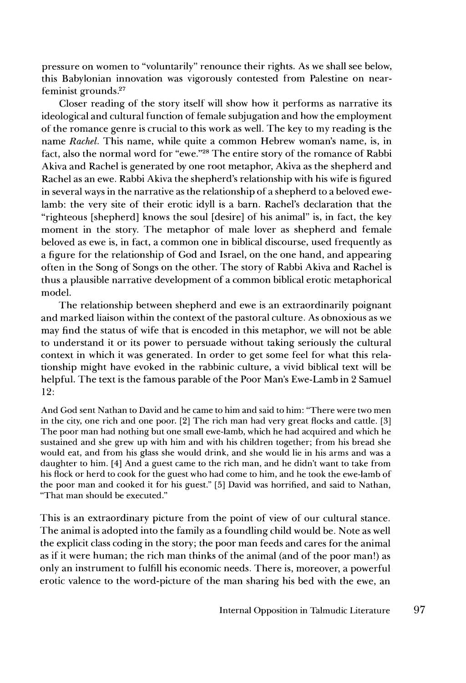pressure on women to "voluntarily" renounce their rights. As we shall see below, this Babylonian innovation was vigorously contested from Palestine on nearfeminist grounds.<sup>27</sup>

Closer reading of the story itself will show how it performs as narrative its ideological and cultural function of female subjugation and how the employment of the romance genre is crucial to this work as well. The key to my reading is the name Rachel. This name, while quite a common Hebrew woman's name, is, in fact, also the normal word for "ewe."<sup>28</sup> The entire story of the romance of Rabbi Akiva and Rachel is generated by one root metaphor, Akiva as the shepherd and Rachel as an ewe. Rabbi Akiva the shepherd's relationship with his wife is figured in several ways in the narrative as the relationship of a shepherd to a beloved ewelamb: the very site of their erotic idyll is a barn. Rachel's declaration that the "righteous [shepherd] knows the soul [desire] of his animal" is, in fact, the key moment in the story. The metaphor of male lover as shepherd and female beloved as ewe is, in fact, a common one in biblical discourse, used frequently as a figure for the relationship of God and Israel, on the one hand, and appearing often in the Song of Songs on the other. The story of Rabbi Akiva and Rachel is thus a plausible narrative development of a common biblical erotic metaphorical model.

The relationship between shepherd and ewe is an extraordinarily poignant and marked liaison within the context of the pastoral culture. As obnoxious as we may find the status of wife that is encoded in this metaphor, we will not be able to understand it or its power to persuade without taking seriously the cultural context in which it was generated. In order to get some feel for what this relationship might have evoked in the rabbinic culture, a vivid biblical text will be helpful. The text is the famous parable of the Poor Man's Ewe-Lamb in 2 Samuel  $12:$ 

And God sent Nathan to David and he came to him and said to him: "There were two men in the city, one rich and one poor. [2] The rich man had very great flocks and cattle. [3] The poor man had nothing but one small ewe-lamb, which he had acquired and which he sustained and she grew up with him and with his children together; from his bread she would eat, and from his glass she would drink, and she would lie in his arms and was a daughter to him. [4] And a guest came to the rich man, and he didn't want to take from his flock or herd to cook for the guest who had come to him, and he took the ewe-lamb of the poor man and cooked it for his guest." [5] David was horrified, and said to Nathan, "That man should be executed."

This is an extraordinary picture from the point of view of our cultural stance. The animal is adopted into the family as a foundling child would be. Note as well the explicit class coding in the story; the poor man feeds and cares for the animal as if it were human; the rich man thinks of the animal (and of the poor man!) as only an instrument to fulfill his economic needs. There is, moreover, a powerful erotic valence to the word-picture of the man sharing his bed with the ewe, an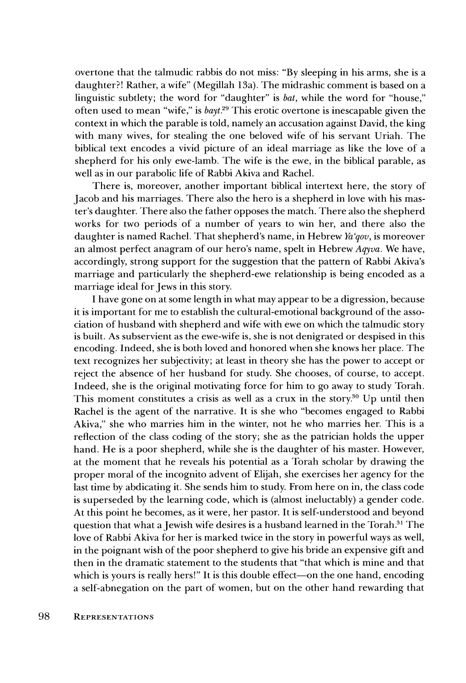overtone that the talmudic rabbis do not miss: "By sleeping in his arms, she is a daughter?! Rather, a wife" (Megillah 13a). The midrashic comment is based on a linguistic subtlety; the word for "daughter" is bat, while the word for "house," often used to mean "wife," is *bayt*.<sup>29</sup> This erotic overtone is inescapable given the context in which the parable is told, namely an accusation against David, the king with many wives, for stealing the one beloved wife of his servant Uriah. The biblical text encodes a vivid picture of an ideal marriage as like the love of a shepherd for his only ewe-lamb. The wife is the ewe, in the biblical parable, as well as in our parabolic life of Rabbi Akiva and Rachel.

There is, moreover, another important biblical intertext here, the story of Jacob and his marriages. There also the hero is a shepherd in love with his master's daughter. There also the father opposes the match. There also the shepherd works for two periods of a number of years to win her, and there also the daughter is named Rachel. That shepherd's name, in Hebrew Ya'gov, is moreover an almost perfect anagram of our hero's name, spelt in Hebrew Aqyva. We have, accordingly, strong support for the suggestion that the pattern of Rabbi Akiva's marriage and particularly the shepherd-ewe relationship is being encoded as a marriage ideal for Jews in this story.

I have gone on at some length in what may appear to be a digression, because it is important for me to establish the cultural-emotional background of the association of husband with shepherd and wife with ewe on which the talmudic story is built. As subservient as the ewe-wife is, she is not denigrated or despised in this encoding. Indeed, she is both loved and honored when she knows her place. The text recognizes her subjectivity; at least in theory she has the power to accept or reject the absence of her husband for study. She chooses, of course, to accept. Indeed, she is the original motivating force for him to go away to study Torah. This moment constitutes a crisis as well as a crux in the story.<sup>30</sup> Up until then Rachel is the agent of the narrative. It is she who "becomes engaged to Rabbi Akiva," she who marries him in the winter, not he who marries her. This is a reflection of the class coding of the story; she as the patrician holds the upper hand. He is a poor shepherd, while she is the daughter of his master. However, at the moment that he reveals his potential as a Torah scholar by drawing the proper moral of the incognito advent of Elijah, she exercises her agency for the last time by abdicating it. She sends him to study. From here on in, the class code is superseded by the learning code, which is (almost ineluctably) a gender code. At this point he becomes, as it were, her pastor. It is self-understood and beyond question that what a Jewish wife desires is a husband learned in the Torah.<sup>31</sup> The love of Rabbi Akiva for her is marked twice in the story in powerful ways as well, in the poignant wish of the poor shepherd to give his bride an expensive gift and then in the dramatic statement to the students that "that which is mine and that which is yours is really hers!" It is this double effect—on the one hand, encoding a self-abnegation on the part of women, but on the other hand rewarding that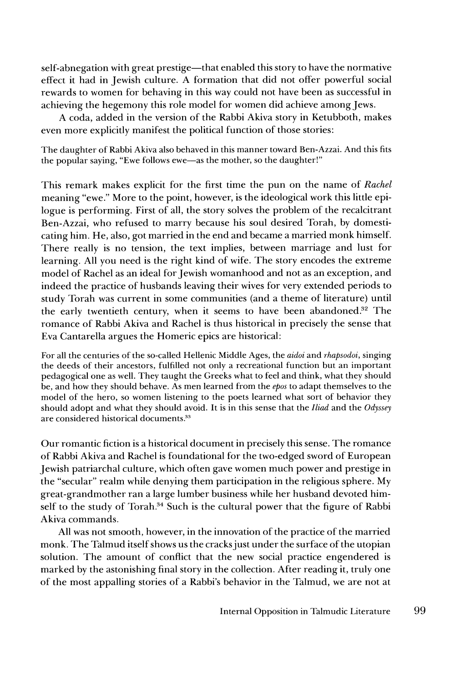self-abnegation with great prestige—that enabled this story to have the normative effect it had in Jewish culture. A formation that did not offer powerful social rewards to women for behaving in this way could not have been as successful in achieving the hegemony this role model for women did achieve among Jews.

A coda, added in the version of the Rabbi Akiva story in Ketubboth, makes even more explicitly manifest the political function of those stories:

The daughter of Rabbi Akiva also behaved in this manner toward Ben-Azzai. And this fits the popular saying, "Ewe follows ewe—as the mother, so the daughter!"

This remark makes explicit for the first time the pun on the name of Rachel meaning "ewe." More to the point, however, is the ideological work this little epilogue is performing. First of all, the story solves the problem of the recalcitrant Ben-Azzai, who refused to marry because his soul desired Torah, by domesticating him. He, also, got married in the end and became a married monk himself. There really is no tension, the text implies, between marriage and lust for learning. All you need is the right kind of wife. The story encodes the extreme model of Rachel as an ideal for Jewish womanhood and not as an exception, and indeed the practice of husbands leaving their wives for very extended periods to study Torah was current in some communities (and a theme of literature) until the early twentieth century, when it seems to have been abandoned.<sup>32</sup> The romance of Rabbi Akiva and Rachel is thus historical in precisely the sense that Eva Cantarella argues the Homeric epics are historical:

For all the centuries of the so-called Hellenic Middle Ages, the *aidoi* and *rhapsodoi*, singing the deeds of their ancestors, fulfilled not only a recreational function but an important pedagogical one as well. They taught the Greeks what to feel and think, what they should be, and how they should behave. As men learned from the *epos* to adapt themselves to the model of the hero, so women listening to the poets learned what sort of behavior they should adopt and what they should avoid. It is in this sense that the Iliad and the Odyssey are considered historical documents.<sup>33</sup>

Our romantic fiction is a historical document in precisely this sense. The romance of Rabbi Akiva and Rachel is foundational for the two-edged sword of European Jewish patriarchal culture, which often gave women much power and prestige in the "secular" realm while denying them participation in the religious sphere. My great-grandmother ran a large lumber business while her husband devoted himself to the study of Torah.<sup>34</sup> Such is the cultural power that the figure of Rabbi Akiva commands.

All was not smooth, however, in the innovation of the practice of the married monk. The Talmud itself shows us the cracks just under the surface of the utopian solution. The amount of conflict that the new social practice engendered is marked by the astonishing final story in the collection. After reading it, truly one of the most appalling stories of a Rabbi's behavior in the Talmud, we are not at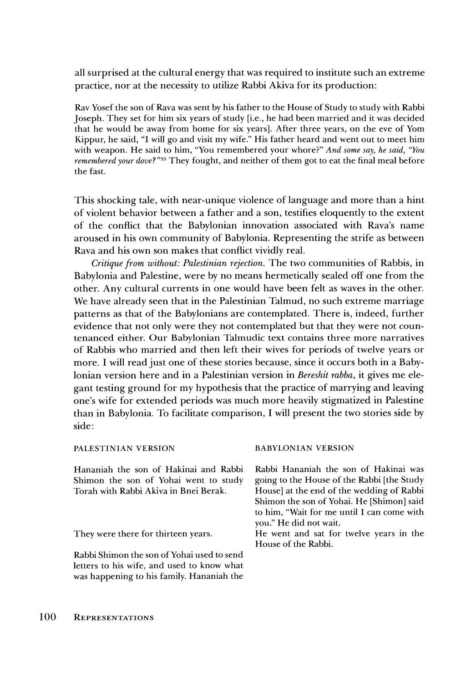all surprised at the cultural energy that was required to institute such an extreme practice, nor at the necessity to utilize Rabbi Akiva for its production:

Ray Yosef the son of Raya was sent by his father to the House of Study to study with Rabbi Joseph. They set for him six years of study [i.e., he had been married and it was decided that he would be away from home for six years]. After three years, on the eve of Yom Kippur, he said, "I will go and visit my wife." His father heard and went out to meet him with weapon. He said to him, "You remembered your whore?" And some say, he said, "You remembered your dove?"<sup>35</sup> They fought, and neither of them got to eat the final meal before the fast.

This shocking tale, with near-unique violence of language and more than a hint of violent behavior between a father and a son, testifies eloquently to the extent of the conflict that the Babylonian innovation associated with Rava's name aroused in his own community of Babylonia. Representing the strife as between Rava and his own son makes that conflict vividly real.

Critique from without: Palestinian rejection. The two communities of Rabbis, in Babylonia and Palestine, were by no means hermetically sealed off one from the other. Any cultural currents in one would have been felt as waves in the other. We have already seen that in the Palestinian Talmud, no such extreme marriage patterns as that of the Babylonians are contemplated. There is, indeed, further evidence that not only were they not contemplated but that they were not countenanced either. Our Babylonian Talmudic text contains three more narratives of Rabbis who married and then left their wives for periods of twelve years or more. I will read just one of these stories because, since it occurs both in a Babylonian version here and in a Palestinian version in Bereshit rabba, it gives me elegant testing ground for my hypothesis that the practice of marrying and leaving one's wife for extended periods was much more heavily stigmatized in Palestine than in Babylonia. To facilitate comparison, I will present the two stories side by side:

| PALESTINIAN VERSION                                                                                                     | <b>BABYLONIAN VERSION</b>                                                                                                                                                                                                                             |
|-------------------------------------------------------------------------------------------------------------------------|-------------------------------------------------------------------------------------------------------------------------------------------------------------------------------------------------------------------------------------------------------|
| Hananiah the son of Hakinai and Rabbi<br>Shimon the son of Yohai went to study<br>Torah with Rabbi Akiva in Bnei Berak. | Rabbi Hananiah the son of Hakinai was<br>going to the House of the Rabbi [the Study<br>House] at the end of the wedding of Rabbi<br>Shimon the son of Yohai. He [Shimon] said<br>to him, "Wait for me until I can come with<br>you." He did not wait. |
| They were there for thirteen years.                                                                                     | He went and sat for twelve years in the<br>House of the Rabbi.                                                                                                                                                                                        |
| Rabbi Shimon the son of Yohai used to send<br>letters to his wife, and used to know what                                |                                                                                                                                                                                                                                                       |

was happening to his family. Hananiah the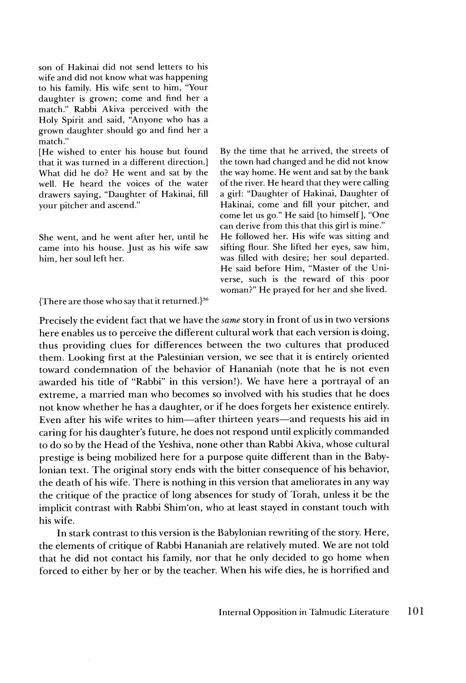son of Hakinai did not send letters to his wife and did not know what was happening to his family. His wife sent to him, "Your daughter is grown; come and find her a match." Rabbi Akiva perceived with the Holy Spirit and said, "Anyone who has a grown daughter should go and find her a match."

[He wished to enter his house but found that it was turned in a different direction.] What did he do? He went and sat by the well. He heard the voices of the water drawers saving, "Daughter of Hakinai, fill your pitcher and ascend."

She went, and he went after her, until he came into his house. Just as his wife saw him, her soul left her.

{There are those who say that it returned.}<sup>36</sup>

By the time that he arrived, the streets of the town had changed and he did not know the way home. He went and sat by the bank of the river. He heard that they were calling a girl: "Daughter of Hakinai, Daughter of Hakinai, come and fill your pitcher, and come let us go." He said [to himself], "One can derive from this that this girl is mine." He followed her. His wife was sitting and sifting flour. She lifted her eyes, saw him, was filled with desire; her soul departed. He said before Him, "Master of the Universe, such is the reward of this poor woman?" He prayed for her and she lived.

Precisely the evident fact that we have the same story in front of us in two versions here enables us to perceive the different cultural work that each version is doing, thus providing clues for differences between the two cultures that produced them. Looking first at the Palestinian version, we see that it is entirely oriented toward condemnation of the behavior of Hananiah (note that he is not even awarded his title of "Rabbi" in this version!). We have here a portrayal of an extreme, a married man who becomes so involved with his studies that he does not know whether he has a daughter, or if he does forgets her existence entirely. Even after his wife writes to him-after thirteen years-and requests his aid in caring for his daughter's future, he does not respond until explicitly commanded to do so by the Head of the Yeshiva, none other than Rabbi Akiva, whose cultural prestige is being mobilized here for a purpose quite different than in the Babylonian text. The original story ends with the bitter consequence of his behavior, the death of his wife. There is nothing in this version that ameliorates in any way the critique of the practice of long absences for study of Torah, unless it be the implicit contrast with Rabbi Shim'on, who at least stayed in constant touch with his wife.

In stark contrast to this version is the Babylonian rewriting of the story. Here, the elements of critique of Rabbi Hananiah are relatively muted. We are not told that he did not contact his family, nor that he only decided to go home when forced to either by her or by the teacher. When his wife dies, he is horrified and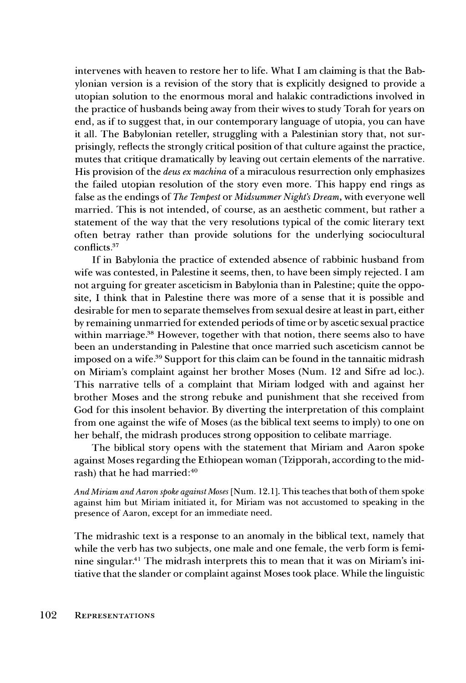intervenes with heaven to restore her to life. What I am claiming is that the Babylonian version is a revision of the story that is explicitly designed to provide a utopian solution to the enormous moral and halakic contradictions involved in the practice of husbands being away from their wives to study Torah for years on end, as if to suggest that, in our contemporary language of utopia, you can have it all. The Babylonian reteller, struggling with a Palestinian story that, not surprisingly, reflects the strongly critical position of that culture against the practice, mutes that critique dramatically by leaving out certain elements of the narrative. His provision of the *deus ex machina* of a miraculous resurrection only emphasizes the failed utopian resolution of the story even more. This happy end rings as false as the endings of The Tempest or Midsummer Night's Dream, with everyone well married. This is not intended, of course, as an aesthetic comment, but rather a statement of the way that the very resolutions typical of the comic literary text often betray rather than provide solutions for the underlying sociocultural conflicts.<sup>37</sup>

If in Babylonia the practice of extended absence of rabbinic husband from wife was contested, in Palestine it seems, then, to have been simply rejected. I am not arguing for greater asceticism in Babylonia than in Palestine; quite the opposite, I think that in Palestine there was more of a sense that it is possible and desirable for men to separate themselves from sexual desire at least in part, either by remaining unmarried for extended periods of time or by ascetic sexual practice within marriage.<sup>38</sup> However, together with that notion, there seems also to have been an understanding in Palestine that once married such asceticism cannot be imposed on a wife.<sup>39</sup> Support for this claim can be found in the tannaitic midrash on Miriam's complaint against her brother Moses (Num. 12 and Sifre ad loc.). This narrative tells of a complaint that Miriam lodged with and against her brother Moses and the strong rebuke and punishment that she received from God for this insolent behavior. By diverting the interpretation of this complaint from one against the wife of Moses (as the biblical text seems to imply) to one on her behalf, the midrash produces strong opposition to celibate marriage.

The biblical story opens with the statement that Miriam and Aaron spoke against Moses regarding the Ethiopean woman (Tzipporah, according to the midrash) that he had married:<sup>40</sup>

And Miriam and Aaron spoke against Moses [Num. 12.1]. This teaches that both of them spoke against him but Miriam initiated it, for Miriam was not accustomed to speaking in the presence of Aaron, except for an immediate need.

The midrashic text is a response to an anomaly in the biblical text, namely that while the verb has two subjects, one male and one female, the verb form is feminine singular.<sup>41</sup> The midrash interprets this to mean that it was on Miriam's initiative that the slander or complaint against Moses took place. While the linguistic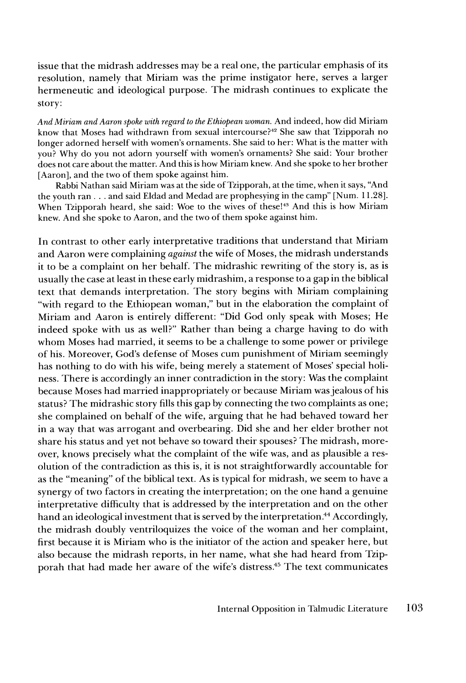issue that the midrash addresses may be a real one, the particular emphasis of its resolution, namely that Miriam was the prime instigator here, serves a larger hermeneutic and ideological purpose. The midrash continues to explicate the story:

And Miriam and Aaron spoke with regard to the Ethiopean woman. And indeed, how did Miriam know that Moses had withdrawn from sexual intercourse?<sup>42</sup> She saw that Tzipporah no longer adorned herself with women's ornaments. She said to her: What is the matter with you? Why do you not adorn yourself with women's ornaments? She said: Your brother does not care about the matter. And this is how Miriam knew. And she spoke to her brother [Aaron], and the two of them spoke against him.

Rabbi Nathan said Miriam was at the side of Tzipporah, at the time, when it says, "And the youth ran . . . and said Eldad and Medad are prophesying in the camp" [Num. 11.28]. When Tzipporah heard, she said: Woe to the wives of these!<sup>43</sup> And this is how Miriam knew. And she spoke to Aaron, and the two of them spoke against him.

In contrast to other early interpretative traditions that understand that Miriam and Aaron were complaining *against* the wife of Moses, the midrash understands it to be a complaint on her behalf. The midrashic rewriting of the story is, as is usually the case at least in these early midrashim, a response to a gap in the biblical text that demands interpretation. The story begins with Miriam complaining "with regard to the Ethiopean woman," but in the elaboration the complaint of Miriam and Aaron is entirely different: "Did God only speak with Moses; He indeed spoke with us as well?" Rather than being a charge having to do with whom Moses had married, it seems to be a challenge to some power or privilege of his. Moreover, God's defense of Moses cum punishment of Miriam seemingly has nothing to do with his wife, being merely a statement of Moses' special holiness. There is accordingly an inner contradiction in the story: Was the complaint because Moses had married inappropriately or because Miriam was jealous of his status? The midrashic story fills this gap by connecting the two complaints as one; she complained on behalf of the wife, arguing that he had behaved toward her in a way that was arrogant and overbearing. Did she and her elder brother not share his status and yet not behave so toward their spouses? The midrash, moreover, knows precisely what the complaint of the wife was, and as plausible a resolution of the contradiction as this is, it is not straightforwardly accountable for as the "meaning" of the biblical text. As is typical for midrash, we seem to have a synergy of two factors in creating the interpretation; on the one hand a genuine interpretative difficulty that is addressed by the interpretation and on the other hand an ideological investment that is served by the interpretation.<sup>44</sup> Accordingly, the midrash doubly ventriloquizes the voice of the woman and her complaint, first because it is Miriam who is the initiator of the action and speaker here, but also because the midrash reports, in her name, what she had heard from Tzipporah that had made her aware of the wife's distress.<sup>45</sup> The text communicates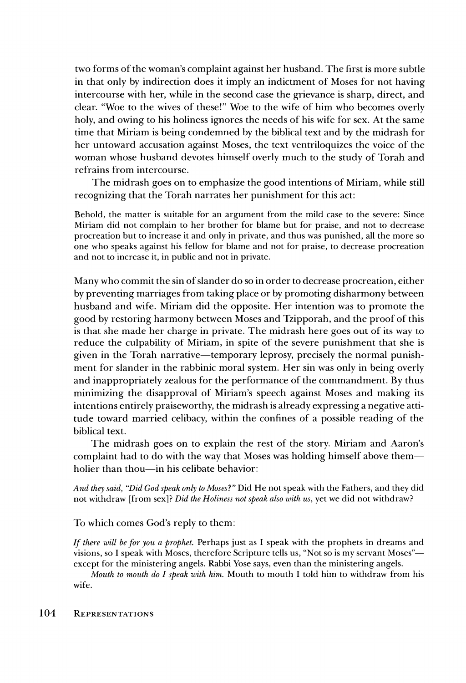two forms of the woman's complaint against her husband. The first is more subtle in that only by indirection does it imply an indictment of Moses for not having intercourse with her, while in the second case the grievance is sharp, direct, and clear. "Woe to the wives of these!" Woe to the wife of him who becomes overly holy, and owing to his holiness ignores the needs of his wife for sex. At the same time that Miriam is being condemned by the biblical text and by the midrash for her untoward accusation against Moses, the text ventriloquizes the voice of the woman whose husband devotes himself overly much to the study of Torah and refrains from intercourse.

The midrash goes on to emphasize the good intentions of Miriam, while still recognizing that the Torah narrates her punishment for this act:

Behold, the matter is suitable for an argument from the mild case to the severe: Since Miriam did not complain to her brother for blame but for praise, and not to decrease procreation but to increase it and only in private, and thus was punished, all the more so one who speaks against his fellow for blame and not for praise, to decrease procreation and not to increase it, in public and not in private.

Many who commit the sin of slander do so in order to decrease procreation, either by preventing marriages from taking place or by promoting disharmony between husband and wife. Miriam did the opposite. Her intention was to promote the good by restoring harmony between Moses and Tzipporah, and the proof of this is that she made her charge in private. The midrash here goes out of its way to reduce the culpability of Miriam, in spite of the severe punishment that she is given in the Torah narrative—temporary leprosy, precisely the normal punishment for slander in the rabbinic moral system. Her sin was only in being overly and inappropriately zealous for the performance of the commandment. By thus minimizing the disapproval of Miriam's speech against Moses and making its intentions entirely praiseworthy, the midrash is already expressing a negative attitude toward married celibacy, within the confines of a possible reading of the biblical text.

The midrash goes on to explain the rest of the story. Miriam and Aaron's complaint had to do with the way that Moses was holding himself above themholier than thou—in his celibate behavior:

And they said, "Did God speak only to Moses?" Did He not speak with the Fathers, and they did not withdraw [from sex]? Did the Holiness not speak also with us, yet we did not withdraw?

To which comes God's reply to them:

If there will be for you a prophet. Perhaps just as I speak with the prophets in dreams and visions, so I speak with Moses, therefore Scripture tells us, "Not so is my servant Moses"except for the ministering angels. Rabbi Yose says, even than the ministering angels.

Mouth to mouth do I speak with him. Mouth to mouth I told him to withdraw from his wife.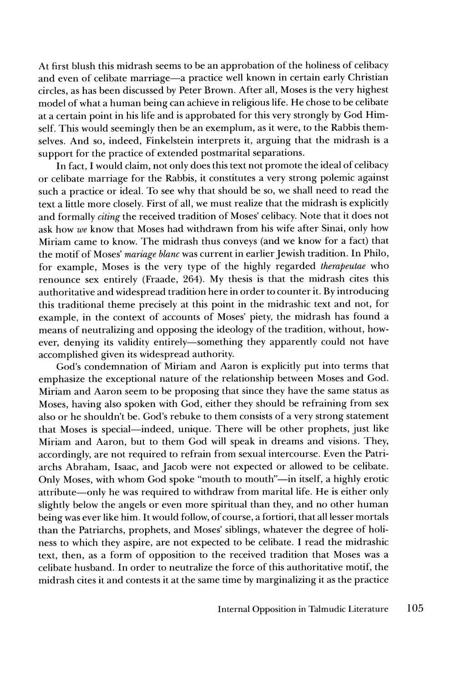At first blush this midrash seems to be an approbation of the holiness of celibacy and even of celibate marriage—a practice well known in certain early Christian circles, as has been discussed by Peter Brown. After all, Moses is the very highest model of what a human being can achieve in religious life. He chose to be celibate at a certain point in his life and is approbated for this very strongly by God Himself. This would seemingly then be an exemplum, as it were, to the Rabbis themselves. And so, indeed, Finkelstein interprets it, arguing that the midrash is a support for the practice of extended postmarital separations.

In fact. I would claim, not only does this text not promote the ideal of celibacy or celibate marriage for the Rabbis, it constitutes a very strong polemic against such a practice or ideal. To see why that should be so, we shall need to read the text a little more closely. First of all, we must realize that the midrash is explicitly and formally citing the received tradition of Moses' celibacy. Note that it does not ask how we know that Moses had withdrawn from his wife after Sinai, only how Miriam came to know. The midrash thus conveys (and we know for a fact) that the motif of Moses' mariage blanc was current in earlier Jewish tradition. In Philo, for example, Moses is the very type of the highly regarded therapeutae who renounce sex entirely (Fraade, 264). My thesis is that the midrash cites this authoritative and widespread tradition here in order to counter it. By introducing this traditional theme precisely at this point in the midrashic text and not, for example, in the context of accounts of Moses' piety, the midrash has found a means of neutralizing and opposing the ideology of the tradition, without, however, denying its validity entirely—something they apparently could not have accomplished given its widespread authority.

God's condemnation of Miriam and Aaron is explicitly put into terms that emphasize the exceptional nature of the relationship between Moses and God. Miriam and Aaron seem to be proposing that since they have the same status as Moses, having also spoken with God, either they should be refraining from sex also or he shouldn't be. God's rebuke to them consists of a very strong statement that Moses is special—indeed, unique. There will be other prophets, just like Miriam and Aaron, but to them God will speak in dreams and visions. They, accordingly, are not required to refrain from sexual intercourse. Even the Patriarchs Abraham, Isaac, and Jacob were not expected or allowed to be celibate. Only Moses, with whom God spoke "mouth to mouth"-in itself, a highly erotic attribute—only he was required to withdraw from marital life. He is either only slightly below the angels or even more spiritual than they, and no other human being was ever like him. It would follow, of course, a fortiori, that all lesser mortals than the Patriarchs, prophets, and Moses' siblings, whatever the degree of holiness to which they aspire, are not expected to be celibate. I read the midrashic text, then, as a form of opposition to the received tradition that Moses was a celibate husband. In order to neutralize the force of this authoritative motif, the midrash cites it and contests it at the same time by marginalizing it as the practice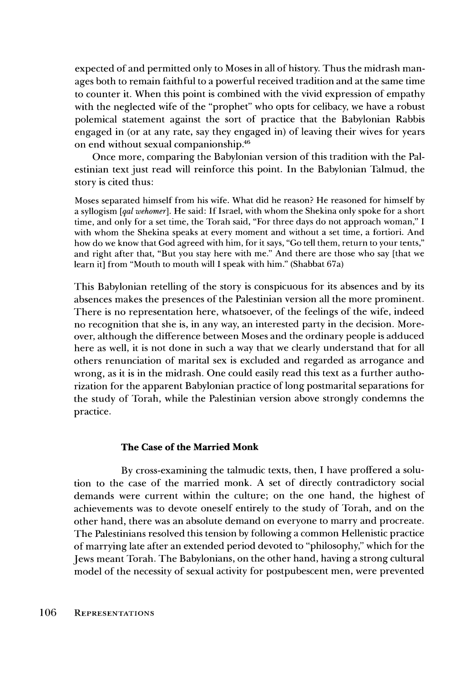expected of and permitted only to Moses in all of history. Thus the midrash manages both to remain faithful to a powerful received tradition and at the same time to counter it. When this point is combined with the vivid expression of empathy with the neglected wife of the "prophet" who opts for celibacy, we have a robust polemical statement against the sort of practice that the Babylonian Rabbis engaged in (or at any rate, say they engaged in) of leaving their wives for years on end without sexual companionship.<sup>46</sup>

Once more, comparing the Babylonian version of this tradition with the Palestinian text just read will reinforce this point. In the Babylonian Talmud, the story is cited thus:

Moses separated himself from his wife. What did he reason? He reasoned for himself by a syllogism [gal wehomer]. He said: If Israel, with whom the Shekina only spoke for a short time, and only for a set time, the Torah said, "For three days do not approach woman," I with whom the Shekina speaks at every moment and without a set time, a fortiori. And how do we know that God agreed with him, for it says, "Go tell them, return to your tents," and right after that, "But you stay here with me." And there are those who say [that we learn it] from "Mouth to mouth will I speak with him." (Shabbat 67a)

This Babylonian retelling of the story is conspicuous for its absences and by its absences makes the presences of the Palestinian version all the more prominent. There is no representation here, whatsoever, of the feelings of the wife, indeed no recognition that she is, in any way, an interested party in the decision. Moreover, although the difference between Moses and the ordinary people is adduced here as well, it is not done in such a way that we clearly understand that for all others renunciation of marital sex is excluded and regarded as arrogance and wrong, as it is in the midrash. One could easily read this text as a further authorization for the apparent Babylonian practice of long postmarital separations for the study of Torah, while the Palestinian version above strongly condemns the practice.

## The Case of the Married Monk

By cross-examining the talmudic texts, then, I have proffered a solution to the case of the married monk. A set of directly contradictory social demands were current within the culture; on the one hand, the highest of achievements was to devote oneself entirely to the study of Torah, and on the other hand, there was an absolute demand on everyone to marry and procreate. The Palestinians resolved this tension by following a common Hellenistic practice of marrying late after an extended period devoted to "philosophy," which for the Jews meant Torah. The Babylonians, on the other hand, having a strong cultural model of the necessity of sexual activity for postpubescent men, were prevented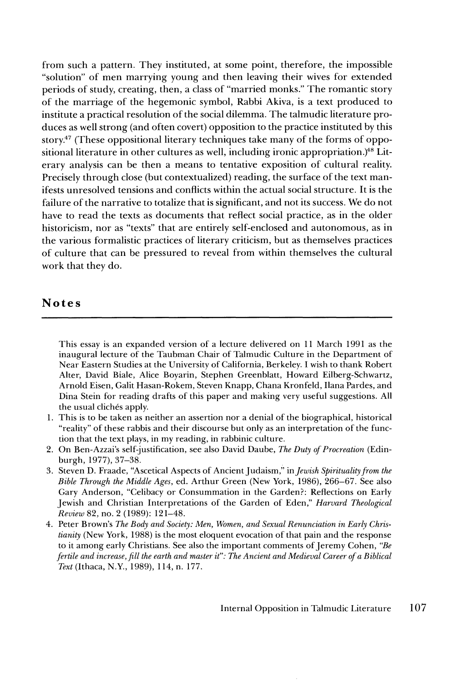from such a pattern. They instituted, at some point, therefore, the impossible "solution" of men marrying young and then leaving their wives for extended periods of study, creating, then, a class of "married monks." The romantic story of the marriage of the hegemonic symbol, Rabbi Akiva, is a text produced to institute a practical resolution of the social dilemma. The talmudic literature produces as well strong (and often covert) opposition to the practice instituted by this story.<sup>47</sup> (These oppositional literary techniques take many of the forms of oppositional literature in other cultures as well, including ironic appropriation.)<sup>48</sup> Literary analysis can be then a means to tentative exposition of cultural reality. Precisely through close (but contextualized) reading, the surface of the text manifests unresolved tensions and conflicts within the actual social structure. It is the failure of the narrative to totalize that is significant, and not its success. We do not have to read the texts as documents that reflect social practice, as in the older historicism, nor as "texts" that are entirely self-enclosed and autonomous, as in the various formalistic practices of literary criticism, but as themselves practices of culture that can be pressured to reveal from within themselves the cultural work that they do.

# **Notes**

This essay is an expanded version of a lecture delivered on 11 March 1991 as the inaugural lecture of the Taubman Chair of Talmudic Culture in the Department of Near Eastern Studies at the University of California, Berkeley. I wish to thank Robert Alter, David Biale, Alice Boyarin, Stephen Greenblatt, Howard Eilberg-Schwartz, Arnold Eisen, Galit Hasan-Rokem, Steven Knapp, Chana Kronfeld, Ilana Pardes, and Dina Stein for reading drafts of this paper and making very useful suggestions. All the usual clichés apply.

- 1. This is to be taken as neither an assertion nor a denial of the biographical, historical "reality" of these rabbis and their discourse but only as an interpretation of the function that the text plays, in my reading, in rabbinic culture.
- 2. On Ben-Azzai's self-justification, see also David Daube, The Duty of Procreation (Edinburgh, 1977), 37-38.
- 3. Steven D. Fraade, "Ascetical Aspects of Ancient Judaism," in Jewish Spirituality from the Bible Through the Middle Ages, ed. Arthur Green (New York, 1986), 266-67. See also Gary Anderson, "Celibacy or Consummation in the Garden?: Reflections on Early Jewish and Christian Interpretations of the Garden of Eden," Harvard Theological Review 82, no. 2 (1989): 121-48.
- 4. Peter Brown's The Body and Society: Men, Women, and Sexual Renunciation in Early Christianity (New York, 1988) is the most eloquent evocation of that pain and the response to it among early Christians. See also the important comments of Jeremy Cohen, " $Be$ fertile and increase, fill the earth and master it": The Ancient and Medieval Career of a Biblical Text (Ithaca, N.Y., 1989), 114, n. 177.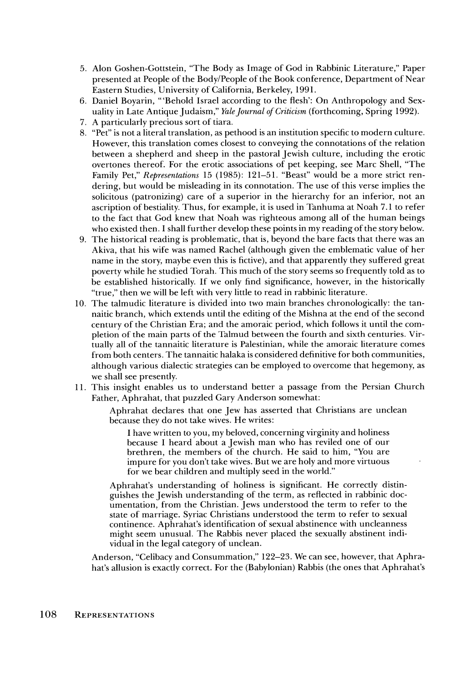- 5. Alon Goshen-Gottstein, "The Body as Image of God in Rabbinic Literature," Paper presented at People of the Body/People of the Book conference, Department of Near Eastern Studies, University of California, Berkeley, 1991.
- 6. Daniel Boyarin, "Behold Israel according to the flesh': On Anthropology and Sexuality in Late Antique Judaism," Yale Journal of Criticism (forthcoming, Spring 1992).
- 7. A particularly precious sort of tiara.
- 8. "Pet" is not a literal translation, as pethood is an institution specific to modern culture. However, this translation comes closest to conveying the connotations of the relation between a shepherd and sheep in the pastoral Jewish culture, including the erotic overtones thereof. For the erotic associations of pet keeping, see Marc Shell, "The Family Pet," Representations 15 (1985): 121–51. "Beast" would be a more strict rendering, but would be misleading in its connotation. The use of this verse implies the solicitous (patronizing) care of a superior in the hierarchy for an inferior, not an ascription of bestiality. Thus, for example, it is used in Tanhuma at Noah 7.1 to refer to the fact that God knew that Noah was righteous among all of the human beings who existed then. I shall further develop these points in my reading of the story below.
- 9. The historical reading is problematic, that is, beyond the bare facts that there was an Akiva, that his wife was named Rachel (although given the emblematic value of her name in the story, maybe even this is fictive), and that apparently they suffered great poverty while he studied Torah. This much of the story seems so frequently told as to be established historically. If we only find significance, however, in the historically "true," then we will be left with very little to read in rabbinic literature.
- 10. The talmudic literature is divided into two main branches chronologically: the tannaitic branch, which extends until the editing of the Mishna at the end of the second century of the Christian Era; and the amoraic period, which follows it until the completion of the main parts of the Talmud between the fourth and sixth centuries. Virtually all of the tannaitic literature is Palestinian, while the amoraic literature comes from both centers. The tannaitic halaka is considered definitive for both communities, although various dialectic strategies can be employed to overcome that hegemony, as we shall see presently.
- 11. This insight enables us to understand better a passage from the Persian Church Father, Aphrahat, that puzzled Gary Anderson somewhat:

Aphrahat declares that one Jew has asserted that Christians are unclean because they do not take wives. He writes:

I have written to you, my beloved, concerning virginity and holiness because I heard about a Jewish man who has reviled one of our brethren, the members of the church. He said to him, "You are impure for you don't take wives. But we are holy and more virtuous for we bear children and multiply seed in the world."

Aphrahat's understanding of holiness is significant. He correctly distinguishes the Jewish understanding of the term, as reflected in rabbinic documentation, from the Christian. Jews understood the term to refer to the state of marriage. Syriac Christians understood the term to refer to sexual continence. Aphrahat's identification of sexual abstinence with uncleanness might seem unusual. The Rabbis never placed the sexually abstinent individual in the legal category of unclean.

Anderson, "Celibacy and Consummation," 122-23. We can see, however, that Aphrahat's allusion is exactly correct. For the (Babylonian) Rabbis (the ones that Aphrahat's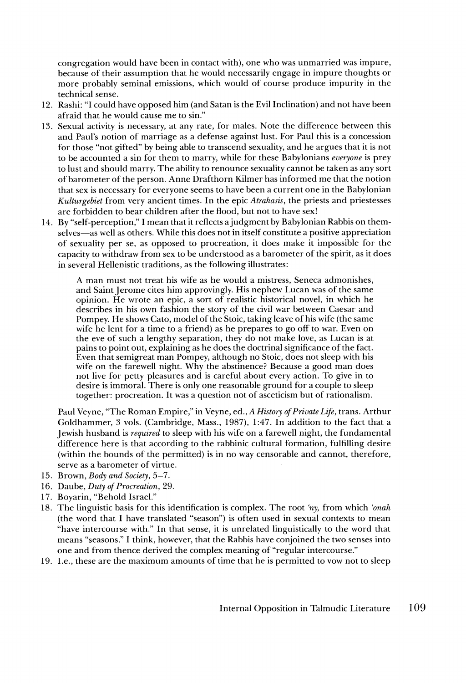congregation would have been in contact with), one who was unmarried was impure, because of their assumption that he would necessarily engage in impure thoughts or more probably seminal emissions, which would of course produce impurity in the technical sense.

- 12. Rashi: "I could have opposed him (and Satan is the Evil Inclination) and not have been afraid that he would cause me to sin."
- 13. Sexual activity is necessary, at any rate, for males. Note the difference between this and Paul's notion of marriage as a defense against lust. For Paul this is a concession for those "not gifted" by being able to transcend sexuality, and he argues that it is not to be accounted a sin for them to marry, while for these Babylonians everyone is prey to lust and should marry. The ability to renounce sexuality cannot be taken as any sort of barometer of the person. Anne Drafthorn Kilmer has informed me that the notion that sex is necessary for everyone seems to have been a current one in the Babylonian Kulturgebiet from very ancient times. In the epic Atrahasis, the priests and priestesses are forbidden to bear children after the flood, but not to have sex!
- 14. By "self-perception," I mean that it reflects a judgment by Babylonian Rabbis on themselves—as well as others. While this does not in itself constitute a positive appreciation of sexuality per se, as opposed to procreation, it does make it impossible for the capacity to withdraw from sex to be understood as a barometer of the spirit, as it does in several Hellenistic traditions, as the following illustrates:

A man must not treat his wife as he would a mistress, Seneca admonishes. and Saint Jerome cites him approvingly. His nephew Lucan was of the same opinion. He wrote an epic, a sort of realistic historical novel, in which he describes in his own fashion the story of the civil war between Caesar and Pompey. He shows Cato, model of the Stoic, taking leave of his wife (the same wife he lent for a time to a friend) as he prepares to go off to war. Even on the eve of such a lengthy separation, they do not make love, as Lucan is at pains to point out, explaining as he does the doctrinal significance of the fact. Even that semigreat man Pompey, although no Stoic, does not sleep with his wife on the farewell night. Why the abstinence? Because a good man does not live for petty pleasures and is careful about every action. To give in to desire is immoral. There is only one reasonable ground for a couple to sleep together: procreation. It was a question not of asceticism but of rationalism.

Paul Veyne, "The Roman Empire," in Veyne, ed., A History of Private Life, trans. Arthur Goldhammer, 3 vols. (Cambridge, Mass., 1987), 1:47. In addition to the fact that a Jewish husband is *required* to sleep with his wife on a farewell night, the fundamental difference here is that according to the rabbinic cultural formation, fulfilling desire (within the bounds of the permitted) is in no way censorable and cannot, therefore, serve as a barometer of virtue.

- 15. Brown, Body and Society, 5-7.
- 16. Daube, Duty of Procreation, 29.
- 17. Boyarin, "Behold Israel."
- 18. The linguistic basis for this identification is complex. The root 'ny, from which 'onah' (the word that I have translated "season") is often used in sexual contexts to mean "have intercourse with." In that sense, it is unrelated linguistically to the word that means "seasons." I think, however, that the Rabbis have conjoined the two senses into one and from thence derived the complex meaning of "regular intercourse."
- 19. I.e., these are the maximum amounts of time that he is permitted to vow not to sleep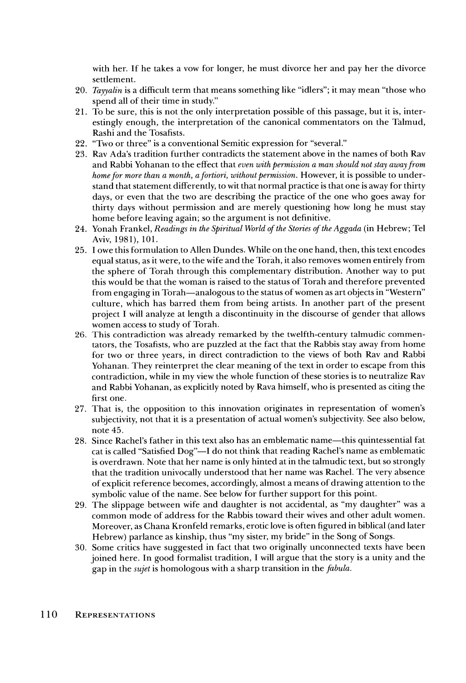with her. If he takes a vow for longer, he must divorce her and pay her the divorce settlement.

- 20. Tayyalin is a difficult term that means something like "idlers"; it may mean "those who spend all of their time in study."
- 21. To be sure, this is not the only interpretation possible of this passage, but it is, interestingly enough, the interpretation of the canonical commentators on the Talmud, Rashi and the Tosafists.
- 22. "Two or three" is a conventional Semitic expression for "several."
- 23. Rav Ada's tradition further contradicts the statement above in the names of both Rav and Rabbi Yohanan to the effect that even with permission a man should not stay away from home for more than a month, a fortiori, without permission. However, it is possible to understand that statement differently, to wit that normal practice is that one is away for thirty days, or even that the two are describing the practice of the one who goes away for thirty days without permission and are merely questioning how long he must stay home before leaving again; so the argument is not definitive.
- 24. Yonah Frankel, Readings in the Spiritual World of the Stories of the Aggada (in Hebrew; Tel Aviv, 1981), 101.
- 25. I owe this formulation to Allen Dundes. While on the one hand, then, this text encodes equal status, as it were, to the wife and the Torah, it also removes women entirely from the sphere of Torah through this complementary distribution. Another way to put this would be that the woman is raised to the status of Torah and therefore prevented from engaging in Torah—analogous to the status of women as art objects in "Western" culture, which has barred them from being artists. In another part of the present project I will analyze at length a discontinuity in the discourse of gender that allows women access to study of Torah.
- 26. This contradiction was already remarked by the twelfth-century talmudic commentators, the Tosafists, who are puzzled at the fact that the Rabbis stay away from home for two or three years, in direct contradiction to the views of both Rav and Rabbi Yohanan. They reinterpret the clear meaning of the text in order to escape from this contradiction, while in my view the whole function of these stories is to neutralize Rav and Rabbi Yohanan, as explicitly noted by Rava himself, who is presented as citing the first one.
- 27. That is, the opposition to this innovation originates in representation of women's subjectivity, not that it is a presentation of actual women's subjectivity. See also below, note 45.
- 28. Since Rachel's father in this text also has an emblematic name—this quintessential fat cat is called "Satisfied Dog"-I do not think that reading Rachel's name as emblematic is overdrawn. Note that her name is only hinted at in the talmudic text, but so strongly that the tradition univocally understood that her name was Rachel. The very absence of explicit reference becomes, accordingly, almost a means of drawing attention to the symbolic value of the name. See below for further support for this point.
- 29. The slippage between wife and daughter is not accidental, as "my daughter" was a common mode of address for the Rabbis toward their wives and other adult women. Moreover, as Chana Kronfeld remarks, erotic love is often figured in biblical (and later Hebrew) parlance as kinship, thus "my sister, my bride" in the Song of Songs.
- 30. Some critics have suggested in fact that two originally unconnected texts have been joined here. In good formalist tradition, I will argue that the story is a unity and the gap in the *sujet* is homologous with a sharp transition in the *fabula*.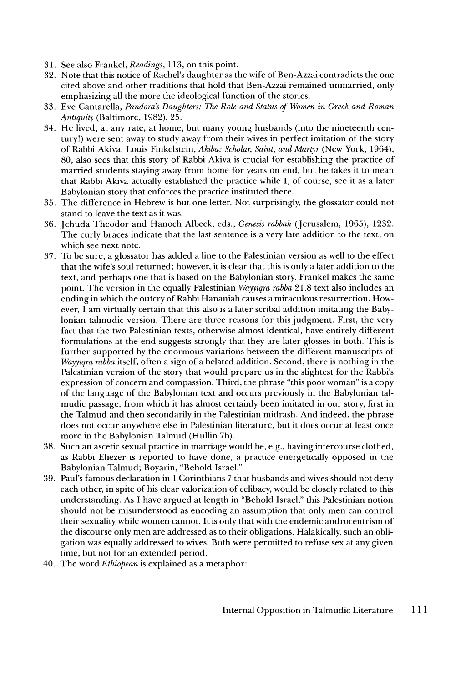- 31. See also Frankel, Readings, 113, on this point.
- 32. Note that this notice of Rachel's daughter as the wife of Ben-Azzai contradicts the one cited above and other traditions that hold that Ben-Azzai remained unmarried, only emphasizing all the more the ideological function of the stories.
- 33. Eve Cantarella, Pandora's Daughters: The Role and Status of Women in Greek and Roman Antiquity (Baltimore, 1982), 25.
- 34. He lived, at any rate, at home, but many young husbands (into the nineteenth century!) were sent away to study away from their wives in perfect imitation of the story of Rabbi Akiva. Louis Finkelstein, Akiba: Scholar, Saint, and Martyr (New York, 1964), 80, also sees that this story of Rabbi Akiva is crucial for establishing the practice of married students staying away from home for years on end, but he takes it to mean that Rabbi Akiva actually established the practice while I, of course, see it as a later Babylonian story that enforces the practice instituted there.
- 35. The difference in Hebrew is but one letter. Not surprisingly, the glossator could not stand to leave the text as it was.
- 36. Jehuda Theodor and Hanoch Albeck, eds., Genesis rabbah (Jerusalem, 1965), 1232. The curly braces indicate that the last sentence is a very late addition to the text, on which see next note.
- 37. To be sure, a glossator has added a line to the Palestinian version as well to the effect that the wife's soul returned; however, it is clear that this is only a later addition to the text, and perhaps one that is based on the Babylonian story. Frankel makes the same point. The version in the equally Palestinian Wayyigra rabba 21.8 text also includes an ending in which the outcry of Rabbi Hananiah causes a miraculous resurrection. However,  $\tilde{I}$  am virtually certain that this also is a later scribal addition imitating the Babylonian talmudic version. There are three reasons for this judgment. First, the very fact that the two Palestinian texts, otherwise almost identical, have entirely different formulations at the end suggests strongly that they are later glosses in both. This is further supported by the enormous variations between the different manuscripts of Wayyigra rabba itself, often a sign of a belated addition. Second, there is nothing in the Palestinian version of the story that would prepare us in the slightest for the Rabbi's expression of concern and compassion. Third, the phrase "this poor woman" is a copy of the language of the Babylonian text and occurs previously in the Babylonian talmudic passage, from which it has almost certainly been imitated in our story, first in the Talmud and then secondarily in the Palestinian midrash. And indeed, the phrase does not occur anywhere else in Palestinian literature, but it does occur at least once more in the Babylonian Talmud (Hullin 7b).
- 38. Such an ascetic sexual practice in marriage would be, e.g., having intercourse clothed, as Rabbi Eliezer is reported to have done, a practice energetically opposed in the Babylonian Talmud; Boyarin, "Behold Israel."
- 39. Paul's famous declaration in 1 Corinthians 7 that husbands and wives should not deny each other, in spite of his clear valorization of celibacy, would be closely related to this understanding. As I have argued at length in "Behold Israel," this Palestinian notion should not be misunderstood as encoding an assumption that only men can control their sexuality while women cannot. It is only that with the endemic androcentrism of the discourse only men are addressed as to their obligations. Halakically, such an obligation was equally addressed to wives. Both were permitted to refuse sex at any given time, but not for an extended period.
- 40. The word *Ethiopean* is explained as a metaphor: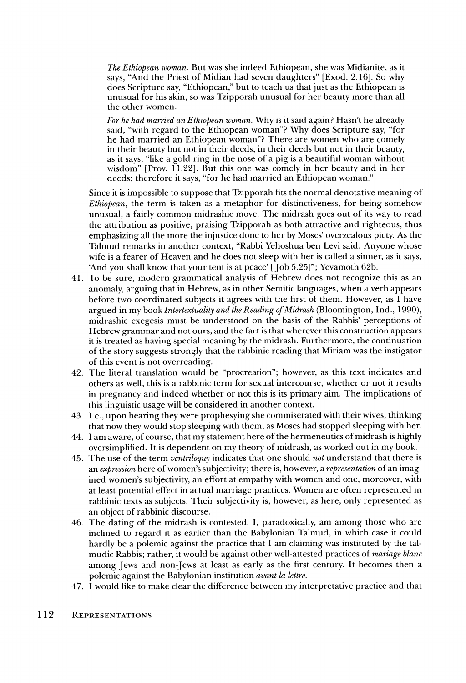The Ethiopean woman. But was she indeed Ethiopean, she was Midianite, as it says, "And the Priest of Midian had seven daughters" [Exod. 2.16]. So why does Scripture say, "Ethiopean," but to teach us that just as the Ethiopean is unusual for his skin, so was Tzipporah unusual for her beauty more than all the other women.

For he had married an Ethiopean woman. Why is it said again? Hasn't he already said, "with regard to the Ethiopean woman"? Why does Scripture say, "for he had married an Ethiopean woman"? There are women who are comely in their beauty but not in their deeds, in their deeds but not in their beauty, as it says, "like a gold ring in the nose of a pig is a beautiful woman without wisdom" [Prov. 11.22]. But this one was comely in her beauty and in her deeds; therefore it says, "for he had married an Ethiopean woman."

Since it is impossible to suppose that Tzipporah fits the normal denotative meaning of *Ethiopean*, the term is taken as a metaphor for distinctiveness, for being somehow unusual, a fairly common midrashic move. The midrash goes out of its way to read the attribution as positive, praising Tzipporah as both attractive and righteous, thus emphasizing all the more the injustice done to her by Moses' overzealous piety. As the Talmud remarks in another context, "Rabbi Yehoshua ben Levi said: Anyone whose wife is a fearer of Heaven and he does not sleep with her is called a sinner, as it says, 'And you shall know that your tent is at peace' [Job 5.25]"; Yevamoth 62b.

- 41. To be sure, modern grammatical analysis of Hebrew does not recognize this as an anomaly, arguing that in Hebrew, as in other Semitic languages, when a verb appears before two coordinated subjects it agrees with the first of them. However, as I have argued in my book Intertextuality and the Reading of Midrash (Bloomington, Ind., 1990), midrashic exegesis must be understood on the basis of the Rabbis' perceptions of Hebrew grammar and not ours, and the fact is that wherever this construction appears it is treated as having special meaning by the midrash. Furthermore, the continuation of the story suggests strongly that the rabbinic reading that Miriam was the instigator of this event is not overreading.
- 42. The literal translation would be "procreation"; however, as this text indicates and others as well, this is a rabbinic term for sexual intercourse, whether or not it results in pregnancy and indeed whether or not this is its primary aim. The implications of this linguistic usage will be considered in another context.
- 43. I.e., upon hearing they were prophesying she commiserated with their wives, thinking that now they would stop sleeping with them, as Moses had stopped sleeping with her.
- 44. I am aware, of course, that my statement here of the hermeneutics of midrash is highly oversimplified. It is dependent on my theory of midrash, as worked out in my book.
- 45. The use of the term *ventriloguy* indicates that one should not understand that there is an expression here of women's subjectivity; there is, however, a representation of an imagined women's subjectivity, an effort at empathy with women and one, moreover, with at least potential effect in actual marriage practices. Women are often represented in rabbinic texts as subjects. Their subjectivity is, however, as here, only represented as an object of rabbinic discourse.
- 46. The dating of the midrash is contested. I, paradoxically, am among those who are inclined to regard it as earlier than the Babylonian Talmud, in which case it could hardly be a polemic against the practice that I am claiming was instituted by the talmudic Rabbis; rather, it would be against other well-attested practices of mariage blanc among Jews and non-Jews at least as early as the first century. It becomes then a polemic against the Babylonian institution avant la lettre.
- 47. I would like to make clear the difference between my interpretative practice and that